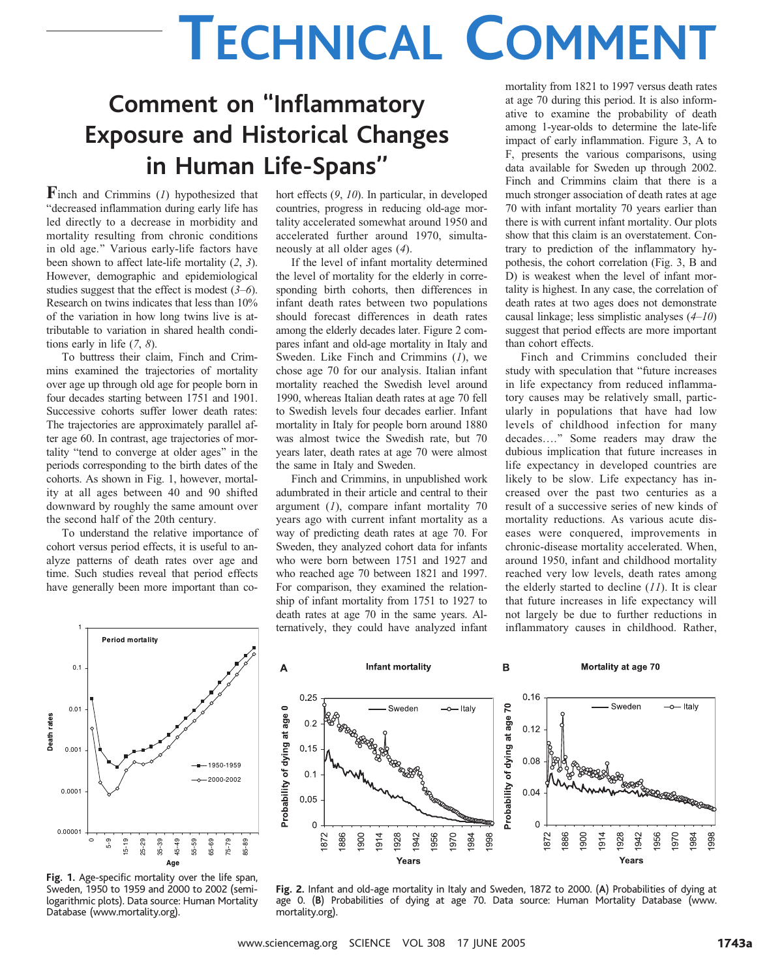# TECHNICAL COMMENT

## Comment on ''Inflammatory Exposure and Historical Changes in Human Life-Spans''

Finch and Crimmins  $(I)$  hypothesized that "decreased inflammation during early life has led directly to a decrease in morbidity and mortality resulting from chronic conditions in old age." Various early-life factors have been shown to affect late-life mortality (2, 3). However, demographic and epidemiological studies suggest that the effect is modest  $(3-6)$ . Research on twins indicates that less than 10% of the variation in how long twins live is attributable to variation in shared health conditions early in life  $(7, 8)$ .

To buttress their claim, Finch and Crimmins examined the trajectories of mortality over age up through old age for people born in four decades starting between 1751 and 1901. Successive cohorts suffer lower death rates: The trajectories are approximately parallel after age 60. In contrast, age trajectories of mortality "tend to converge at older ages" in the periods corresponding to the birth dates of the cohorts. As shown in Fig. 1, however, mortality at all ages between 40 and 90 shifted downward by roughly the same amount over the second half of the 20th century.

To understand the relative importance of cohort versus period effects, it is useful to analyze patterns of death rates over age and time. Such studies reveal that period effects have generally been more important than cohort effects (9, 10). In particular, in developed countries, progress in reducing old-age mortality accelerated somewhat around 1950 and accelerated further around 1970, simultaneously at all older ages (4).

If the level of infant mortality determined the level of mortality for the elderly in corresponding birth cohorts, then differences in infant death rates between two populations should forecast differences in death rates among the elderly decades later. Figure 2 compares infant and old-age mortality in Italy and Sweden. Like Finch and Crimmins  $(1)$ , we chose age 70 for our analysis. Italian infant mortality reached the Swedish level around 1990, whereas Italian death rates at age 70 fell to Swedish levels four decades earlier. Infant mortality in Italy for people born around 1880 was almost twice the Swedish rate, but 70 years later, death rates at age 70 were almost the same in Italy and Sweden.

Finch and Crimmins, in unpublished work adumbrated in their article and central to their argument  $(1)$ , compare infant mortality 70 years ago with current infant mortality as a way of predicting death rates at age 70. For Sweden, they analyzed cohort data for infants who were born between 1751 and 1927 and who reached age 70 between 1821 and 1997. For comparison, they examined the relationship of infant mortality from 1751 to 1927 to death rates at age 70 in the same years. Alternatively, they could have analyzed infant

mortality from 1821 to 1997 versus death rates at age 70 during this period. It is also informative to examine the probability of death among 1-year-olds to determine the late-life impact of early inflammation. Figure 3, A to F, presents the various comparisons, using data available for Sweden up through 2002. Finch and Crimmins claim that there is a much stronger association of death rates at age 70 with infant mortality 70 years earlier than there is with current infant mortality. Our plots show that this claim is an overstatement. Contrary to prediction of the inflammatory hypothesis, the cohort correlation (Fig. 3, B and D) is weakest when the level of infant mortality is highest. In any case, the correlation of death rates at two ages does not demonstrate causal linkage; less simplistic analyses (4–10) suggest that period effects are more important than cohort effects.

Finch and Crimmins concluded their study with speculation that "future increases in life expectancy from reduced inflammatory causes may be relatively small, particularly in populations that have had low levels of childhood infection for many decades...." Some readers may draw the dubious implication that future increases in life expectancy in developed countries are likely to be slow. Life expectancy has increased over the past two centuries as a result of a successive series of new kinds of mortality reductions. As various acute diseases were conquered, improvements in chronic-disease mortality accelerated. When, around 1950, infant and childhood mortality reached very low levels, death rates among the elderly started to decline  $(11)$ . It is clear that future increases in life expectancy will not largely be due to further reductions in inflammatory causes in childhood. Rather,



Fig. 1. Age-specific mortality over the life span, Sweden, 1950 to 1959 and 2000 to 2002 (semilogarithmic plots). Data source: Human Mortality Database (www.mortality.org).



Fig. 2. Infant and old-age mortality in Italy and Sweden, 1872 to 2000. (A) Probabilities of dying at age 0. (B) Probabilities of dying at age 70. Data source: Human Mortality Database (www. mortality.org).